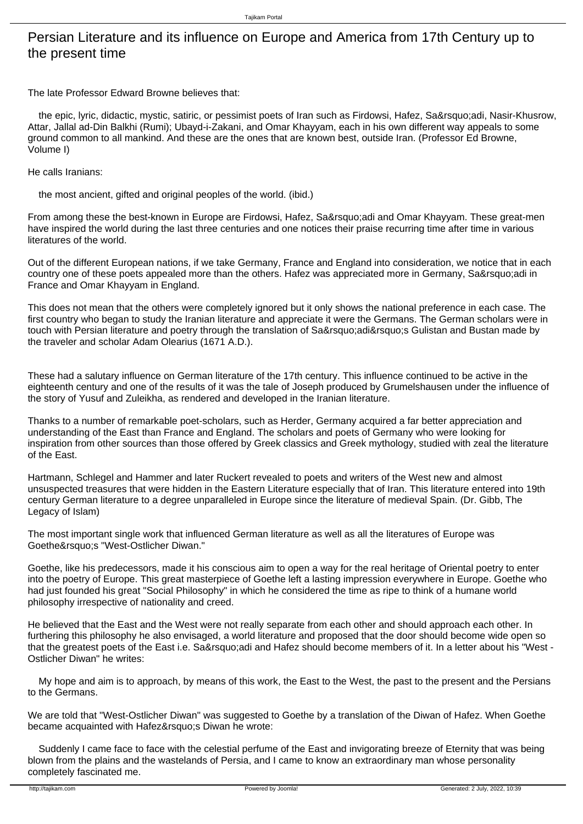## Persian Literature and its influence on Europe and America from 17th Century up to the present time

The late Professor Edward Browne believes that:

the epic, lyric, didactic, mystic, satiric, or pessimist poets of Iran such as Firdowsi, Hafez, Sa&rsquo:adi, Nasir-Khusrow, Attar, Jallal ad-Din Balkhi (Rumi); Ubayd-i-Zakani, and Omar Khayyam, each in his own different way appeals to some ground common to all mankind. And these are the ones that are known best, outside Iran. (Professor Ed Browne, Volume I)

He calls Iranians:

the most ancient, gifted and original peoples of the world. (ibid.)

From among these the best-known in Europe are Firdowsi, Hafez, Sa'adi and Omar Khayyam. These great-men have inspired the world during the last three centuries and one notices their praise recurring time after time in various literatures of the world.

Out of the different European nations, if we take Germany, France and England into consideration, we notice that in each country one of these poets appealed more than the others. Hafez was appreciated more in Germany, Sa'adi in France and Omar Khayyam in England.

This does not mean that the others were completely ignored but it only shows the national preference in each case. The first country who began to study the Iranian literature and appreciate it were the Germans. The German scholars were in touch with Persian literature and poetry through the translation of Sa'adi's Gulistan and Bustan made by the traveler and scholar Adam Olearius (1671 A.D.).

These had a salutary influence on German literature of the 17th century. This influence continued to be active in the eighteenth century and one of the results of it was the tale of Joseph produced by Grumelshausen under the influence of the story of Yusuf and Zuleikha, as rendered and developed in the Iranian literature.

Thanks to a number of remarkable poet-scholars, such as Herder, Germany acquired a far better appreciation and understanding of the East than France and England. The scholars and poets of Germany who were looking for inspiration from other sources than those offered by Greek classics and Greek mythology, studied with zeal the literature of the East.

Hartmann, Schlegel and Hammer and later Ruckert revealed to poets and writers of the West new and almost unsuspected treasures that were hidden in the Eastern Literature especially that of Iran. This literature entered into 19th century German literature to a degree unparalleled in Europe since the literature of medieval Spain. (Dr. Gibb, The Legacy of Islam)

The most important single work that influenced German literature as well as all the literatures of Europe was Goethe's "West-Ostlicher Diwan."

Goethe, like his predecessors, made it his conscious aim to open a way for the real heritage of Oriental poetry to enter into the poetry of Europe. This great masterpiece of Goethe left a lasting impression everywhere in Europe. Goethe who had just founded his great "Social Philosophy" in which he considered the time as ripe to think of a humane world philosophy irrespective of nationality and creed.

He believed that the East and the West were not really separate from each other and should approach each other. In furthering this philosophy he also envisaged, a world literature and proposed that the door should become wide open so that the greatest poets of the East i.e. Sa'adi and Hafez should become members of it. In a letter about his "West -Ostlicher Diwan" he writes:

 My hope and aim is to approach, by means of this work, the East to the West, the past to the present and the Persians to the Germans.

We are told that "West-Ostlicher Diwan" was suggested to Goethe by a translation of the Diwan of Hafez. When Goethe became acquainted with Hafez' Diwan he wrote:

 Suddenly I came face to face with the celestial perfume of the East and invigorating breeze of Eternity that was being blown from the plains and the wastelands of Persia, and I came to know an extraordinary man whose personality completely fascinated me.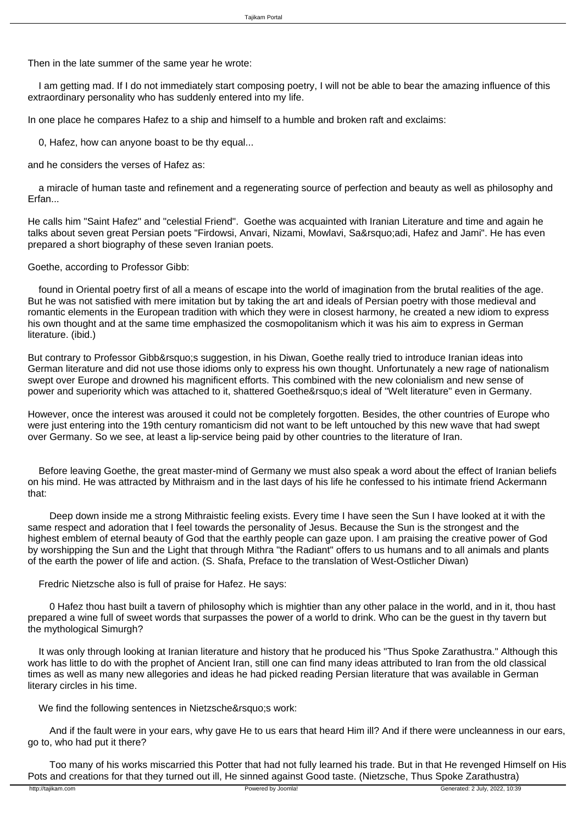Then in the late summer of the same year he wrote:

 I am getting mad. If I do not immediately start composing poetry, I will not be able to bear the amazing influence of this extraordinary personality who has suddenly entered into my life.

In one place he compares Hafez to a ship and himself to a humble and broken raft and exclaims:

0, Hafez, how can anyone boast to be thy equal...

and he considers the verses of Hafez as:

 a miracle of human taste and refinement and a regenerating source of perfection and beauty as well as philosophy and Erfan...

He calls him "Saint Hafez" and "celestial Friend". Goethe was acquainted with Iranian Literature and time and again he talks about seven great Persian poets "Firdowsi, Anvari, Nizami, Mowlavi, Sa&rsguo;adi, Hafez and Jami". He has even prepared a short biography of these seven Iranian poets.

Goethe, according to Professor Gibb:

 found in Oriental poetry first of all a means of escape into the world of imagination from the brutal realities of the age. But he was not satisfied with mere imitation but by taking the art and ideals of Persian poetry with those medieval and romantic elements in the European tradition with which they were in closest harmony, he created a new idiom to express his own thought and at the same time emphasized the cosmopolitanism which it was his aim to express in German literature. (ibid.)

But contrary to Professor Gibb&rsquo:s suggestion, in his Diwan, Goethe really tried to introduce Iranian ideas into German literature and did not use those idioms only to express his own thought. Unfortunately a new rage of nationalism swept over Europe and drowned his magnificent efforts. This combined with the new colonialism and new sense of power and superiority which was attached to it, shattered Goethe' sideal of "Welt literature" even in Germany.

However, once the interest was aroused it could not be completely forgotten. Besides, the other countries of Europe who were just entering into the 19th century romanticism did not want to be left untouched by this new wave that had swept over Germany. So we see, at least a lip-service being paid by other countries to the literature of Iran.

 Before leaving Goethe, the great master-mind of Germany we must also speak a word about the effect of Iranian beliefs on his mind. He was attracted by Mithraism and in the last days of his life he confessed to his intimate friend Ackermann that:

 Deep down inside me a strong Mithraistic feeling exists. Every time I have seen the Sun I have looked at it with the same respect and adoration that I feel towards the personality of Jesus. Because the Sun is the strongest and the highest emblem of eternal beauty of God that the earthly people can gaze upon. I am praising the creative power of God by worshipping the Sun and the Light that through Mithra "the Radiant" offers to us humans and to all animals and plants of the earth the power of life and action. (S. Shafa, Preface to the translation of West-Ostlicher Diwan)

Fredric Nietzsche also is full of praise for Hafez. He says:

 0 Hafez thou hast built a tavern of philosophy which is mightier than any other palace in the world, and in it, thou hast prepared a wine full of sweet words that surpasses the power of a world to drink. Who can be the guest in thy tavern but the mythological Simurgh?

 It was only through looking at Iranian literature and history that he produced his "Thus Spoke Zarathustra." Although this work has little to do with the prophet of Ancient Iran, still one can find many ideas attributed to Iran from the old classical times as well as many new allegories and ideas he had picked reading Persian literature that was available in German literary circles in his time.

We find the following sentences in Nietzsche' s work:

 And if the fault were in your ears, why gave He to us ears that heard Him ill? And if there were uncleanness in our ears, go to, who had put it there?

 Too many of his works miscarried this Potter that had not fully learned his trade. But in that He revenged Himself on His Pots and creations for that they turned out ill, He sinned against Good taste. (Nietzsche, Thus Spoke Zarathustra)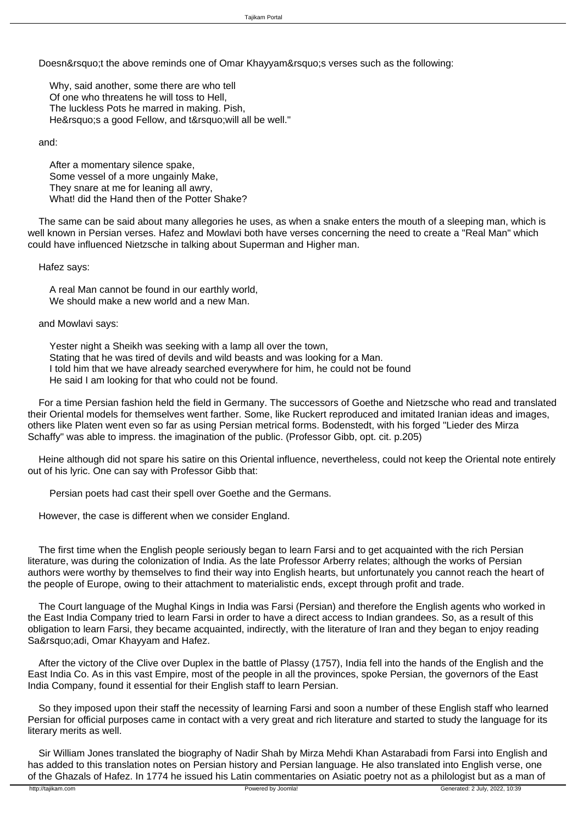Doesn't the above reminds one of Omar Khayyam's verses such as the following:

 Why, said another, some there are who tell Of one who threatens he will toss to Hell, The luckless Pots he marred in making. Pish, He' s a good Fellow, and t' will all be well."

and:

 After a momentary silence spake, Some vessel of a more ungainly Make, They snare at me for leaning all awry, What! did the Hand then of the Potter Shake?

 The same can be said about many allegories he uses, as when a snake enters the mouth of a sleeping man, which is well known in Persian verses. Hafez and Mowlavi both have verses concerning the need to create a "Real Man" which could have influenced Nietzsche in talking about Superman and Higher man.

Hafez says:

 A real Man cannot be found in our earthly world, We should make a new world and a new Man.

and Mowlavi says:

 Yester night a Sheikh was seeking with a lamp all over the town, Stating that he was tired of devils and wild beasts and was looking for a Man. I told him that we have already searched everywhere for him, he could not be found He said I am looking for that who could not be found.

 For a time Persian fashion held the field in Germany. The successors of Goethe and Nietzsche who read and translated their Oriental models for themselves went farther. Some, like Ruckert reproduced and imitated Iranian ideas and images, others like Platen went even so far as using Persian metrical forms. Bodenstedt, with his forged "Lieder des Mirza Schaffy" was able to impress. the imagination of the public. (Professor Gibb, opt. cit. p.205)

 Heine although did not spare his satire on this Oriental influence, nevertheless, could not keep the Oriental note entirely out of his lyric. One can say with Professor Gibb that:

Persian poets had cast their spell over Goethe and the Germans.

However, the case is different when we consider England.

 The first time when the English people seriously began to learn Farsi and to get acquainted with the rich Persian literature, was during the colonization of India. As the late Professor Arberry relates; although the works of Persian authors were worthy by themselves to find their way into English hearts, but unfortunately you cannot reach the heart of the people of Europe, owing to their attachment to materialistic ends, except through profit and trade.

 The Court language of the Mughal Kings in India was Farsi (Persian) and therefore the English agents who worked in the East India Company tried to learn Farsi in order to have a direct access to Indian grandees. So, as a result of this obligation to learn Farsi, they became acquainted, indirectly, with the literature of Iran and they began to enjoy reading Sa&rsquo:adi, Omar Khayyam and Hafez.

 After the victory of the Clive over Duplex in the battle of Plassy (1757), India fell into the hands of the English and the East India Co. As in this vast Empire, most of the people in all the provinces, spoke Persian, the governors of the East India Company, found it essential for their English staff to learn Persian.

 So they imposed upon their staff the necessity of learning Farsi and soon a number of these English staff who learned Persian for official purposes came in contact with a very great and rich literature and started to study the language for its literary merits as well.

 Sir William Jones translated the biography of Nadir Shah by Mirza Mehdi Khan Astarabadi from Farsi into English and has added to this translation notes on Persian history and Persian language. He also translated into English verse, one of the Ghazals of Hafez. In 1774 he issued his Latin commentaries on Asiatic poetry not as a philologist but as a man of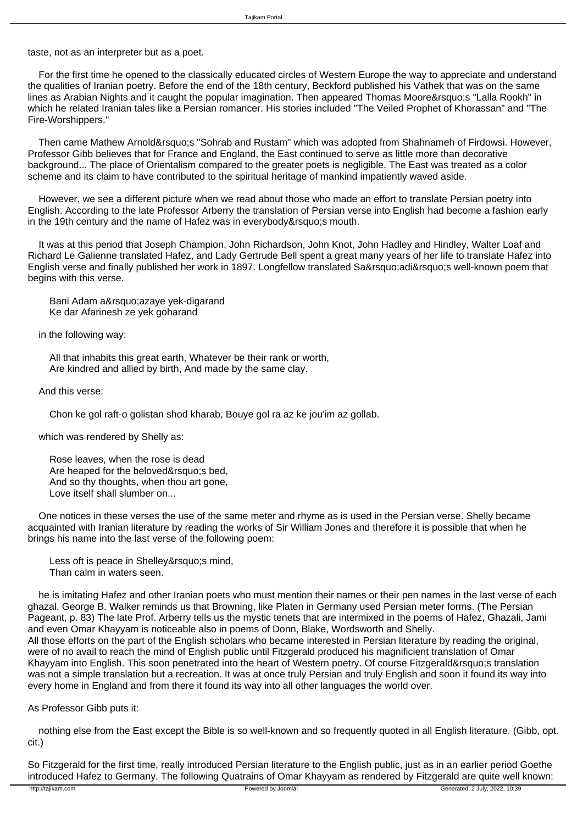taste, not as an interpreter but as a poet.

 For the first time he opened to the classically educated circles of Western Europe the way to appreciate and understand the qualities of Iranian poetry. Before the end of the 18th century, Beckford published his Vathek that was on the same lines as Arabian Nights and it caught the popular imagination. Then appeared Thomas Moore's "Lalla Rookh" in which he related Iranian tales like a Persian romancer. His stories included "The Veiled Prophet of Khorassan" and "The Fire-Worshippers."

Then came Mathew Arnold's "Sohrab and Rustam" which was adopted from Shahnameh of Firdowsi. However, Professor Gibb believes that for France and England, the East continued to serve as little more than decorative background... The place of Orientalism compared to the greater poets is negligible. The East was treated as a color scheme and its claim to have contributed to the spiritual heritage of mankind impatiently waved aside.

 However, we see a different picture when we read about those who made an effort to translate Persian poetry into English. According to the late Professor Arberry the translation of Persian verse into English had become a fashion early in the 19th century and the name of Hafez was in everybody' smouth.

 It was at this period that Joseph Champion, John Richardson, John Knot, John Hadley and Hindley, Walter Loaf and Richard Le Galienne translated Hafez, and Lady Gertrude Bell spent a great many years of her life to translate Hafez into English verse and finally published her work in 1897. Longfellow translated Sa'adi's well-known poem that begins with this verse.

Bani Adam a' azaye yek-digarand Ke dar Afarinesh ze yek goharand

in the following way:

 All that inhabits this great earth, Whatever be their rank or worth, Are kindred and allied by birth, And made by the same clay.

## And this verse:

Chon ke gol raft-o golistan shod kharab, Bouye gol ra az ke jou'im az gollab.

which was rendered by Shelly as:

 Rose leaves, when the rose is dead Are heaped for the beloved' s bed, And so thy thoughts, when thou art gone, Love itself shall slumber on...

 One notices in these verses the use of the same meter and rhyme as is used in the Persian verse. Shelly became acquainted with Iranian literature by reading the works of Sir William Jones and therefore it is possible that when he brings his name into the last verse of the following poem:

Less oft is peace in Shelley's mind, Than calm in waters seen.

 he is imitating Hafez and other Iranian poets who must mention their names or their pen names in the last verse of each ghazal. George B. Walker reminds us that Browning, like Platen in Germany used Persian meter forms. (The Persian Pageant, p. 83) The late Prof. Arberry tells us the mystic tenets that are intermixed in the poems of Hafez, Ghazali, Jami and even Omar Khayyam is noticeable also in poems of Donn, Blake, Wordsworth and Shelly. All those efforts on the part of the English scholars who became interested in Persian literature by reading the original, were of no avail to reach the mind of English public until Fitzgerald produced his magnificient translation of Omar Khayyam into English. This soon penetrated into the heart of Western poetry. Of course Fitzgerald's translation was not a simple translation but a recreation. It was at once truly Persian and truly English and soon it found its way into every home in England and from there it found its way into all other languages the world over.

As Professor Gibb puts it:

 nothing else from the East except the Bible is so well-known and so frequently quoted in all English literature. (Gibb, opt. cit.)

So Fitzgerald for the first time, really introduced Persian literature to the English public, just as in an earlier period Goethe introduced Hafez to Germany. The following Quatrains of Omar Khayyam as rendered by Fitzgerald are quite well known: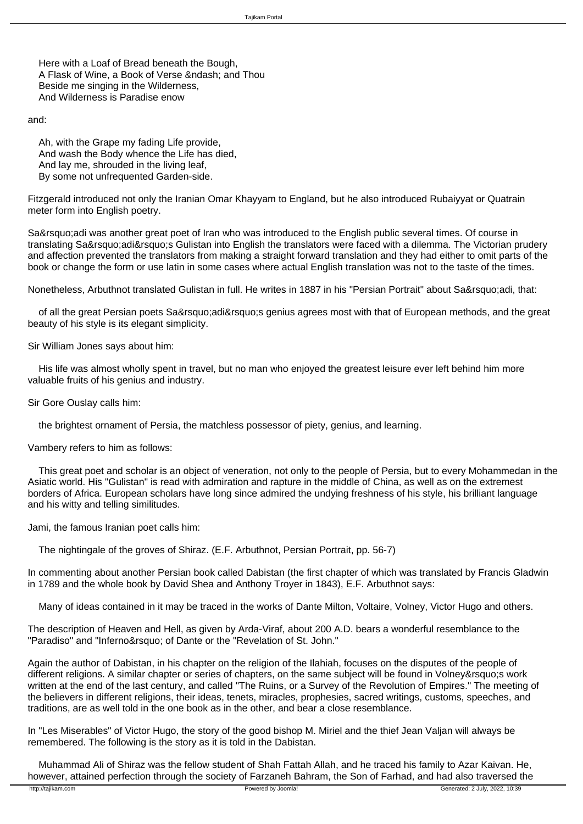Here with a Loaf of Bread beneath the Bough, A Flask of Wine, a Book of Verse & ndash; and Thou Beside me singing in the Wilderness, And Wilderness is Paradise enow

and:

 Ah, with the Grape my fading Life provide, And wash the Body whence the Life has died, And lay me, shrouded in the living leaf, By some not unfrequented Garden-side.

Fitzgerald introduced not only the Iranian Omar Khayyam to England, but he also introduced Rubaiyyat or Quatrain meter form into English poetry.

Sa&rsquo:adi was another great poet of Iran who was introduced to the English public several times. Of course in translating Sa&rsquo:adi&rsquo:s Gulistan into English the translators were faced with a dilemma. The Victorian prudery and affection prevented the translators from making a straight forward translation and they had either to omit parts of the book or change the form or use latin in some cases where actual English translation was not to the taste of the times.

Nonetheless, Arbuthnot translated Gulistan in full. He writes in 1887 in his "Persian Portrait" about Sa&rsquo:adi, that:

of all the great Persian poets Sa'adi's genius agrees most with that of European methods, and the great beauty of his style is its elegant simplicity.

Sir William Jones says about him:

 His life was almost wholly spent in travel, but no man who enjoyed the greatest leisure ever left behind him more valuable fruits of his genius and industry.

Sir Gore Ouslay calls him:

the brightest ornament of Persia, the matchless possessor of piety, genius, and learning.

Vambery refers to him as follows:

 This great poet and scholar is an object of veneration, not only to the people of Persia, but to every Mohammedan in the Asiatic world. His "Gulistan" is read with admiration and rapture in the middle of China, as well as on the extremest borders of Africa. European scholars have long since admired the undying freshness of his style, his brilliant language and his witty and telling similitudes.

Jami, the famous Iranian poet calls him:

The nightingale of the groves of Shiraz. (E.F. Arbuthnot, Persian Portrait, pp. 56-7)

In commenting about another Persian book called Dabistan (the first chapter of which was translated by Francis Gladwin in 1789 and the whole book by David Shea and Anthony Troyer in 1843), E.F. Arbuthnot says:

Many of ideas contained in it may be traced in the works of Dante Milton, Voltaire, Volney, Victor Hugo and others.

The description of Heaven and Hell, as given by Arda-Viraf, about 200 A.D. bears a wonderful resemblance to the "Paradiso" and "Inferno&rsquo: of Dante or the "Revelation of St. John."

Again the author of Dabistan, in his chapter on the religion of the Ilahiah, focuses on the disputes of the people of different religions. A similar chapter or series of chapters, on the same subject will be found in Volney's work written at the end of the last century, and called "The Ruins, or a Survey of the Revolution of Empires." The meeting of the believers in different religions, their ideas, tenets, miracles, prophesies, sacred writings, customs, speeches, and traditions, are as well told in the one book as in the other, and bear a close resemblance.

In "Les Miserables" of Victor Hugo, the story of the good bishop M. Miriel and the thief Jean Valjan will always be remembered. The following is the story as it is told in the Dabistan.

 Muhammad Ali of Shiraz was the fellow student of Shah Fattah Allah, and he traced his family to Azar Kaivan. He, however, attained perfection through the society of Farzaneh Bahram, the Son of Farhad, and had also traversed the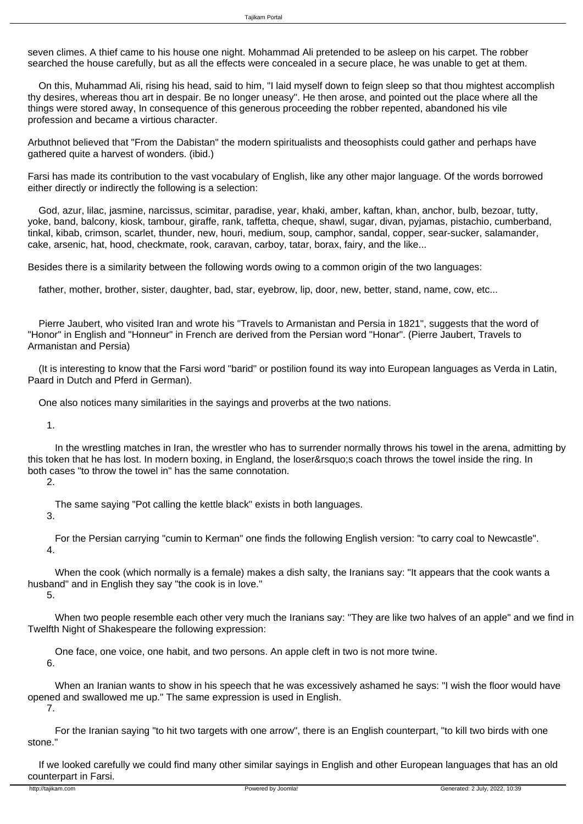seven climes. A thief came to his house one night. Mohammad Ali pretended to be asleep on his carpet. The robber searched the house carefully, but as all the effects were concealed in a secure place, he was unable to get at them.

 On this, Muhammad Ali, rising his head, said to him, "I laid myself down to feign sleep so that thou mightest accomplish thy desires, whereas thou art in despair. Be no longer uneasy". He then arose, and pointed out the place where all the things were stored away, In consequence of this generous proceeding the robber repented, abandoned his vile profession and became a virtious character.

Arbuthnot believed that "From the Dabistan" the modern spiritualists and theosophists could gather and perhaps have gathered quite a harvest of wonders. (ibid.)

Farsi has made its contribution to the vast vocabulary of English, like any other major language. Of the words borrowed either directly or indirectly the following is a selection:

 God, azur, lilac, jasmine, narcissus, scimitar, paradise, year, khaki, amber, kaftan, khan, anchor, bulb, bezoar, tutty, yoke, band, balcony, kiosk, tambour, giraffe, rank, taffetta, cheque, shawl, sugar, divan, pyjamas, pistachio, cumberband, tinkal, kibab, crimson, scarlet, thunder, new, houri, medium, soup, camphor, sandal, copper, sear-sucker, salamander, cake, arsenic, hat, hood, checkmate, rook, caravan, carboy, tatar, borax, fairy, and the like...

Besides there is a similarity between the following words owing to a common origin of the two languages:

father, mother, brother, sister, daughter, bad, star, eyebrow, lip, door, new, better, stand, name, cow, etc...

 Pierre Jaubert, who visited Iran and wrote his "Travels to Armanistan and Persia in 1821", suggests that the word of "Honor" in English and "Honneur" in French are derived from the Persian word "Honar". (Pierre Jaubert, Travels to Armanistan and Persia)

 (It is interesting to know that the Farsi word "barid" or postilion found its way into European languages as Verda in Latin, Paard in Dutch and Pferd in German).

One also notices many similarities in the sayings and proverbs at the two nations.

1.

 In the wrestling matches in Iran, the wrestler who has to surrender normally throws his towel in the arena, admitting by this token that he has lost. In modern boxing, in England, the loser' scoach throws the towel inside the ring. In both cases "to throw the towel in" has the same connotation.

2.

The same saying "Pot calling the kettle black" exists in both languages.

3.

 For the Persian carrying "cumin to Kerman" one finds the following English version: "to carry coal to Newcastle". 4.

 When the cook (which normally is a female) makes a dish salty, the Iranians say: "It appears that the cook wants a husband" and in English they say "the cook is in love."

5.

 When two people resemble each other very much the Iranians say: "They are like two halves of an apple" and we find in Twelfth Night of Shakespeare the following expression:

One face, one voice, one habit, and two persons. An apple cleft in two is not more twine.

6.

 When an Iranian wants to show in his speech that he was excessively ashamed he says: "I wish the floor would have opened and swallowed me up." The same expression is used in English. 7.

 For the Iranian saying "to hit two targets with one arrow", there is an English counterpart, "to kill two birds with one stone."

 If we looked carefully we could find many other similar sayings in English and other European languages that has an old counterpart in Farsi.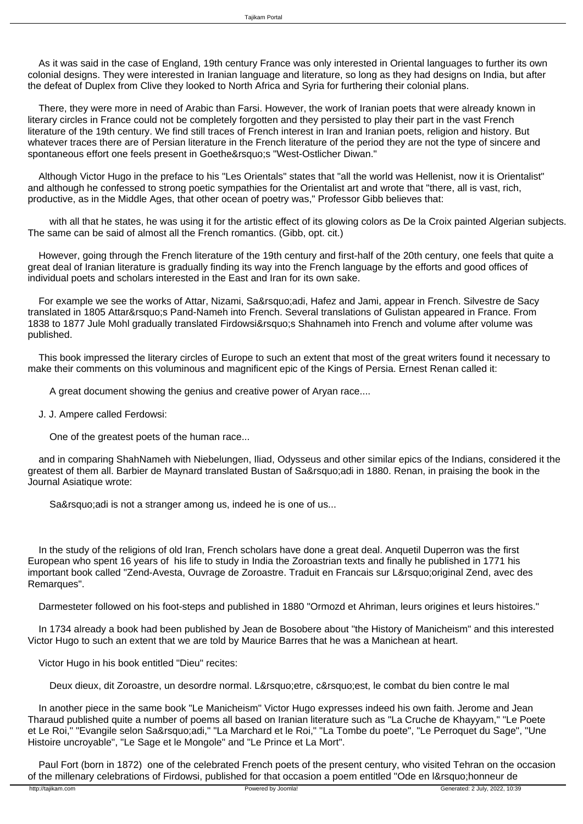As it was said in the case of England, 19th century France was only interested in Oriental languages to further its own colonial designs. They were interested in Iranian language and literature, so long as they had designs on India, but after the defeat of Duplex from Clive they looked to North Africa and Syria for furthering their colonial plans.

 There, they were more in need of Arabic than Farsi. However, the work of Iranian poets that were already known in literary circles in France could not be completely forgotten and they persisted to play their part in the vast French literature of the 19th century. We find still traces of French interest in Iran and Iranian poets, religion and history. But whatever traces there are of Persian literature in the French literature of the period they are not the type of sincere and spontaneous effort one feels present in Goethe's "West-Ostlicher Diwan."

 Although Victor Hugo in the preface to his "Les Orientals" states that "all the world was Hellenist, now it is Orientalist" and although he confessed to strong poetic sympathies for the Orientalist art and wrote that "there, all is vast, rich, productive, as in the Middle Ages, that other ocean of poetry was," Professor Gibb believes that:

 with all that he states, he was using it for the artistic effect of its glowing colors as De la Croix painted Algerian subjects. The same can be said of almost all the French romantics. (Gibb, opt. cit.)

 However, going through the French literature of the 19th century and first-half of the 20th century, one feels that quite a great deal of Iranian literature is gradually finding its way into the French language by the efforts and good offices of individual poets and scholars interested in the East and Iran for its own sake.

For example we see the works of Attar, Nizami, Sa'adi, Hafez and Jami, appear in French. Silvestre de Sacy translated in 1805 Attar's Pand-Nameh into French. Several translations of Gulistan appeared in France. From 1838 to 1877 Jule Mohl gradually translated Firdowsi' Shahnameh into French and volume after volume was published.

 This book impressed the literary circles of Europe to such an extent that most of the great writers found it necessary to make their comments on this voluminous and magnificent epic of the Kings of Persia. Ernest Renan called it:

A great document showing the genius and creative power of Aryan race....

J. J. Ampere called Ferdowsi:

One of the greatest poets of the human race...

 and in comparing ShahNameh with Niebelungen, Iliad, Odysseus and other similar epics of the Indians, considered it the greatest of them all. Barbier de Maynard translated Bustan of Sa'adi in 1880. Renan, in praising the book in the Journal Asiatique wrote:

Sa' adi is not a stranger among us, indeed he is one of us...

 In the study of the religions of old Iran, French scholars have done a great deal. Anquetil Duperron was the first European who spent 16 years of his life to study in India the Zoroastrian texts and finally he published in 1771 his important book called "Zend-Avesta, Ouvrage de Zoroastre. Traduit en Francais sur L'original Zend, avec des Remarques".

Darmesteter followed on his foot-steps and published in 1880 "Ormozd et Ahriman, leurs origines et leurs histoires."

 In 1734 already a book had been published by Jean de Bosobere about "the History of Manicheism" and this interested Victor Hugo to such an extent that we are told by Maurice Barres that he was a Manichean at heart.

Victor Hugo in his book entitled "Dieu" recites:

Deux dieux, dit Zoroastre, un desordre normal. L' etre, c' est, le combat du bien contre le mal

 In another piece in the same book "Le Manicheism" Victor Hugo expresses indeed his own faith. Jerome and Jean Tharaud published quite a number of poems all based on Iranian literature such as "La Cruche de Khayyam," "Le Poete et Le Roi," "Evangile selon Sa'adi," "La Marchard et le Roi," "La Tombe du poete", "Le Perroquet du Sage", "Une Histoire uncroyable", "Le Sage et le Mongole" and "Le Prince et La Mort".

 Paul Fort (born in 1872) one of the celebrated French poets of the present century, who visited Tehran on the occasion of the millenary celebrations of Firdowsi, published for that occasion a poem entitled "Ode en l' honneur de